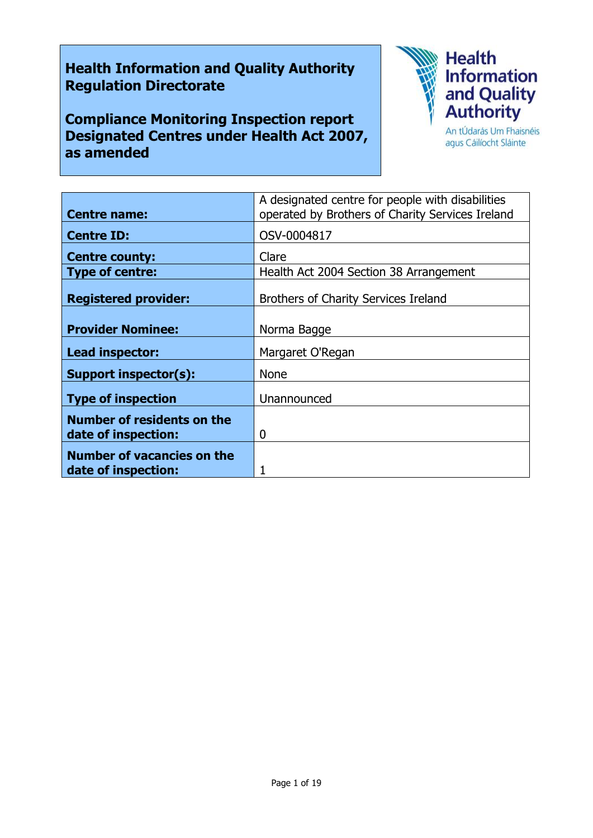# **Health Information and Quality Authority Regulation Directorate**

**Compliance Monitoring Inspection report Designated Centres under Health Act 2007, as amended**



agus Cáilíocht Sláinte

|                                                          | A designated centre for people with disabilities |
|----------------------------------------------------------|--------------------------------------------------|
| <b>Centre name:</b>                                      | operated by Brothers of Charity Services Ireland |
| <b>Centre ID:</b>                                        | OSV-0004817                                      |
| <b>Centre county:</b>                                    | Clare                                            |
| <b>Type of centre:</b>                                   | Health Act 2004 Section 38 Arrangement           |
| <b>Registered provider:</b>                              | Brothers of Charity Services Ireland             |
| <b>Provider Nominee:</b>                                 | Norma Bagge                                      |
| Lead inspector:                                          | Margaret O'Regan                                 |
| <b>Support inspector(s):</b>                             | <b>None</b>                                      |
| <b>Type of inspection</b>                                | Unannounced                                      |
| <b>Number of residents on the</b><br>date of inspection: | 0                                                |
| <b>Number of vacancies on the</b><br>date of inspection: |                                                  |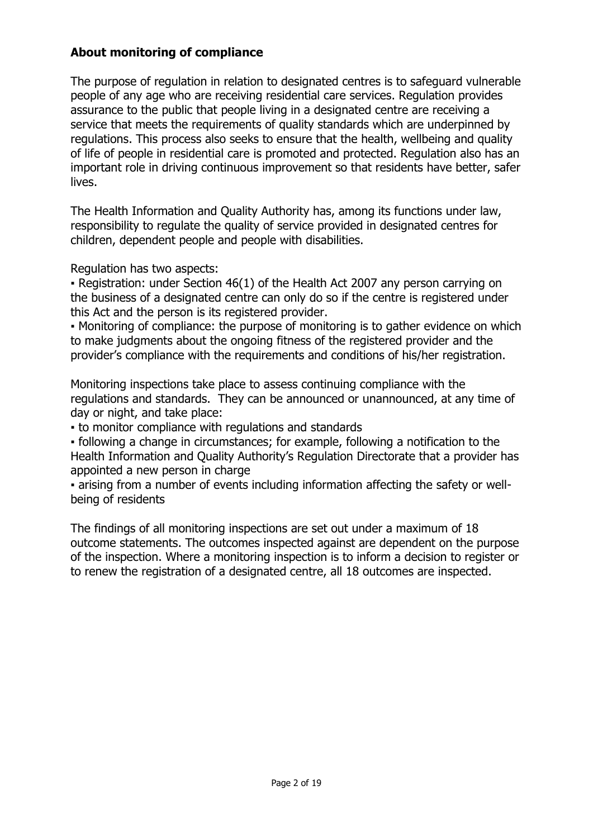# **About monitoring of compliance**

The purpose of regulation in relation to designated centres is to safeguard vulnerable people of any age who are receiving residential care services. Regulation provides assurance to the public that people living in a designated centre are receiving a service that meets the requirements of quality standards which are underpinned by regulations. This process also seeks to ensure that the health, wellbeing and quality of life of people in residential care is promoted and protected. Regulation also has an important role in driving continuous improvement so that residents have better, safer lives.

The Health Information and Quality Authority has, among its functions under law, responsibility to regulate the quality of service provided in designated centres for children, dependent people and people with disabilities.

Regulation has two aspects:

• Registration: under Section 46(1) of the Health Act 2007 any person carrying on the business of a designated centre can only do so if the centre is registered under this Act and the person is its registered provider.

▪ Monitoring of compliance: the purpose of monitoring is to gather evidence on which to make judgments about the ongoing fitness of the registered provider and the provider's compliance with the requirements and conditions of his/her registration.

Monitoring inspections take place to assess continuing compliance with the regulations and standards. They can be announced or unannounced, at any time of day or night, and take place:

▪ to monitor compliance with regulations and standards

▪ following a change in circumstances; for example, following a notification to the Health Information and Quality Authority's Regulation Directorate that a provider has appointed a new person in charge

▪ arising from a number of events including information affecting the safety or wellbeing of residents

The findings of all monitoring inspections are set out under a maximum of 18 outcome statements. The outcomes inspected against are dependent on the purpose of the inspection. Where a monitoring inspection is to inform a decision to register or to renew the registration of a designated centre, all 18 outcomes are inspected.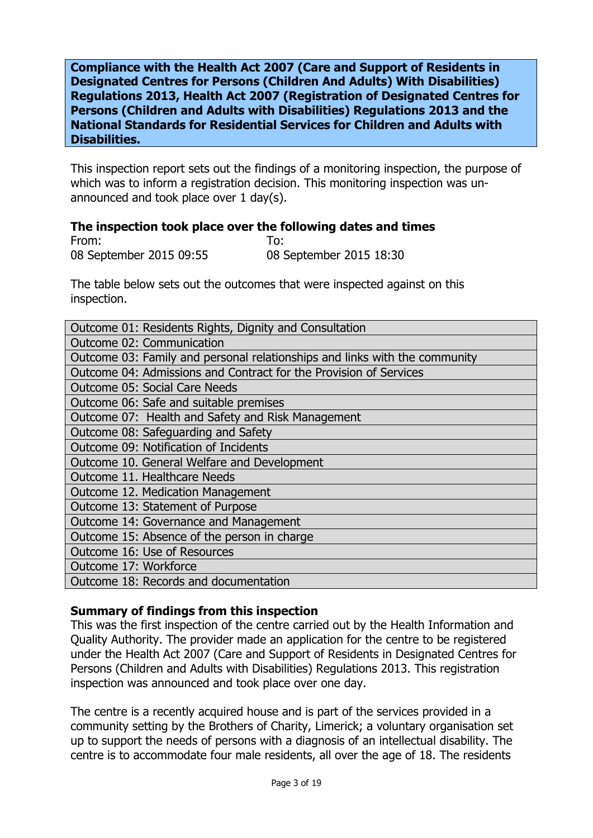**Compliance with the Health Act 2007 (Care and Support of Residents in Designated Centres for Persons (Children And Adults) With Disabilities) Regulations 2013, Health Act 2007 (Registration of Designated Centres for Persons (Children and Adults with Disabilities) Regulations 2013 and the National Standards for Residential Services for Children and Adults with Disabilities.**

This inspection report sets out the findings of a monitoring inspection, the purpose of which was to inform a registration decision. This monitoring inspection was unannounced and took place over 1 day(s).

#### **The inspection took place over the following dates and times**

From: To: 08 September 2015 09:55 08 September 2015 18:30

The table below sets out the outcomes that were inspected against on this inspection.

| Outcome 01: Residents Rights, Dignity and Consultation                     |  |
|----------------------------------------------------------------------------|--|
| Outcome 02: Communication                                                  |  |
| Outcome 03: Family and personal relationships and links with the community |  |
| Outcome 04: Admissions and Contract for the Provision of Services          |  |
| <b>Outcome 05: Social Care Needs</b>                                       |  |
| Outcome 06: Safe and suitable premises                                     |  |
| Outcome 07: Health and Safety and Risk Management                          |  |
| Outcome 08: Safeguarding and Safety                                        |  |
| Outcome 09: Notification of Incidents                                      |  |
| Outcome 10. General Welfare and Development                                |  |
| Outcome 11. Healthcare Needs                                               |  |
| Outcome 12. Medication Management                                          |  |
| Outcome 13: Statement of Purpose                                           |  |
| Outcome 14: Governance and Management                                      |  |
| Outcome 15: Absence of the person in charge                                |  |
| Outcome 16: Use of Resources                                               |  |
| Outcome 17: Workforce                                                      |  |
| Outcome 18: Records and documentation                                      |  |

### **Summary of findings from this inspection**

This was the first inspection of the centre carried out by the Health Information and Quality Authority. The provider made an application for the centre to be registered under the Health Act 2007 (Care and Support of Residents in Designated Centres for Persons (Children and Adults with Disabilities) Regulations 2013. This registration inspection was announced and took place over one day.

The centre is a recently acquired house and is part of the services provided in a community setting by the Brothers of Charity, Limerick; a voluntary organisation set up to support the needs of persons with a diagnosis of an intellectual disability. The centre is to accommodate four male residents, all over the age of 18. The residents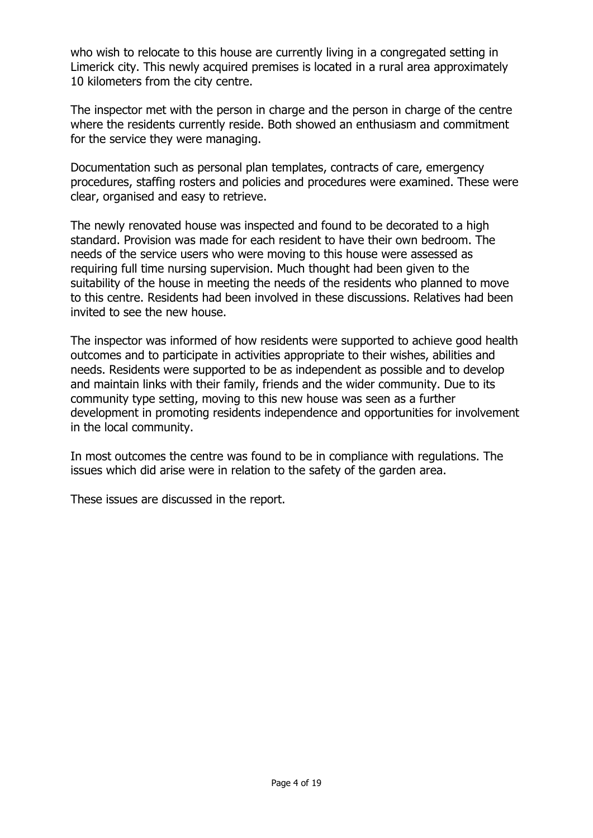who wish to relocate to this house are currently living in a congregated setting in Limerick city. This newly acquired premises is located in a rural area approximately 10 kilometers from the city centre.

The inspector met with the person in charge and the person in charge of the centre where the residents currently reside. Both showed an enthusiasm and commitment for the service they were managing.

Documentation such as personal plan templates, contracts of care, emergency procedures, staffing rosters and policies and procedures were examined. These were clear, organised and easy to retrieve.

The newly renovated house was inspected and found to be decorated to a high standard. Provision was made for each resident to have their own bedroom. The needs of the service users who were moving to this house were assessed as requiring full time nursing supervision. Much thought had been given to the suitability of the house in meeting the needs of the residents who planned to move to this centre. Residents had been involved in these discussions. Relatives had been invited to see the new house.

The inspector was informed of how residents were supported to achieve good health outcomes and to participate in activities appropriate to their wishes, abilities and needs. Residents were supported to be as independent as possible and to develop and maintain links with their family, friends and the wider community. Due to its community type setting, moving to this new house was seen as a further development in promoting residents independence and opportunities for involvement in the local community.

In most outcomes the centre was found to be in compliance with regulations. The issues which did arise were in relation to the safety of the garden area.

These issues are discussed in the report.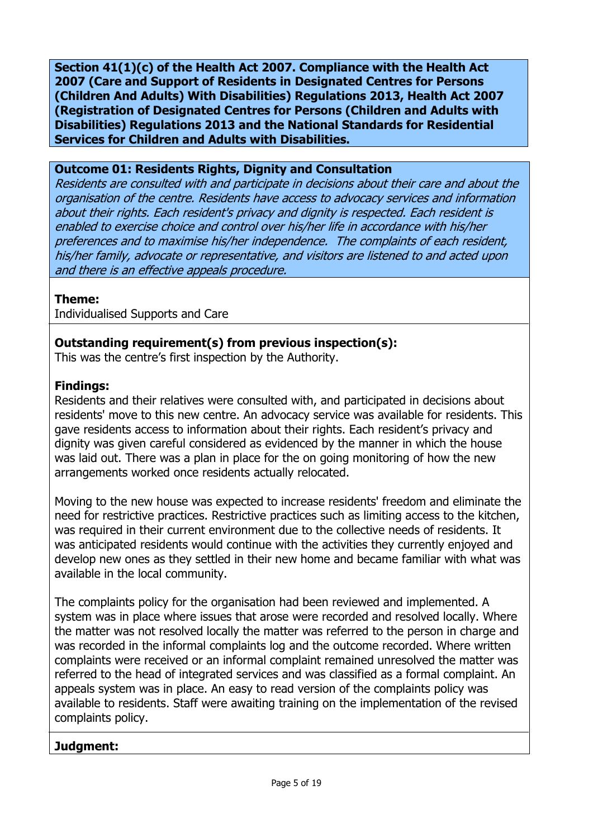**Section 41(1)(c) of the Health Act 2007. Compliance with the Health Act 2007 (Care and Support of Residents in Designated Centres for Persons (Children And Adults) With Disabilities) Regulations 2013, Health Act 2007 (Registration of Designated Centres for Persons (Children and Adults with Disabilities) Regulations 2013 and the National Standards for Residential Services for Children and Adults with Disabilities.**

#### **Outcome 01: Residents Rights, Dignity and Consultation**

Residents are consulted with and participate in decisions about their care and about the organisation of the centre. Residents have access to advocacy services and information about their rights. Each resident's privacy and dignity is respected. Each resident is enabled to exercise choice and control over his/her life in accordance with his/her preferences and to maximise his/her independence. The complaints of each resident, his/her family, advocate or representative, and visitors are listened to and acted upon and there is an effective appeals procedure.

#### **Theme:**

Individualised Supports and Care

# **Outstanding requirement(s) from previous inspection(s):**

This was the centre's first inspection by the Authority.

### **Findings:**

Residents and their relatives were consulted with, and participated in decisions about residents' move to this new centre. An advocacy service was available for residents. This gave residents access to information about their rights. Each resident's privacy and dignity was given careful considered as evidenced by the manner in which the house was laid out. There was a plan in place for the on going monitoring of how the new arrangements worked once residents actually relocated.

Moving to the new house was expected to increase residents' freedom and eliminate the need for restrictive practices. Restrictive practices such as limiting access to the kitchen, was required in their current environment due to the collective needs of residents. It was anticipated residents would continue with the activities they currently enjoyed and develop new ones as they settled in their new home and became familiar with what was available in the local community.

The complaints policy for the organisation had been reviewed and implemented. A system was in place where issues that arose were recorded and resolved locally. Where the matter was not resolved locally the matter was referred to the person in charge and was recorded in the informal complaints log and the outcome recorded. Where written complaints were received or an informal complaint remained unresolved the matter was referred to the head of integrated services and was classified as a formal complaint. An appeals system was in place. An easy to read version of the complaints policy was available to residents. Staff were awaiting training on the implementation of the revised complaints policy.

### **Judgment:**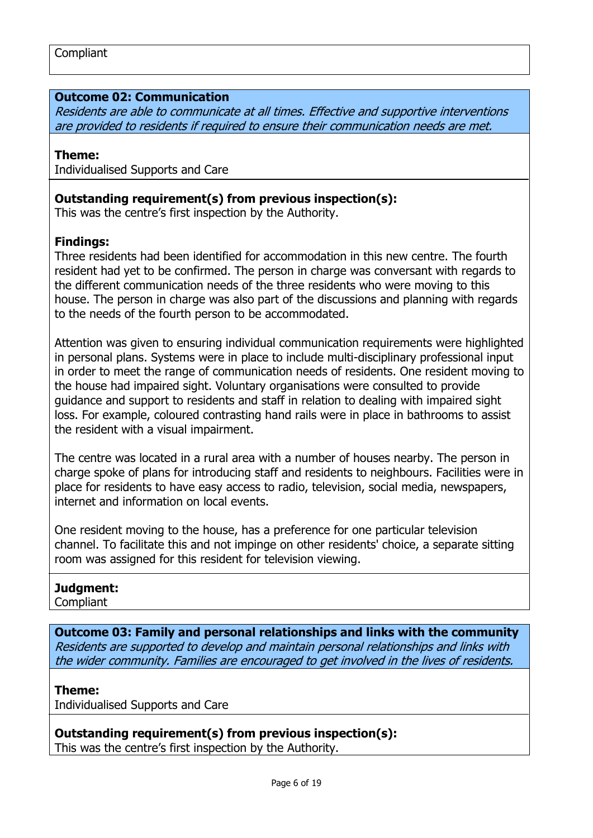#### **Outcome 02: Communication**

Residents are able to communicate at all times. Effective and supportive interventions are provided to residents if required to ensure their communication needs are met.

#### **Theme:**

Individualised Supports and Care

#### **Outstanding requirement(s) from previous inspection(s):**

This was the centre's first inspection by the Authority.

#### **Findings:**

Three residents had been identified for accommodation in this new centre. The fourth resident had yet to be confirmed. The person in charge was conversant with regards to the different communication needs of the three residents who were moving to this house. The person in charge was also part of the discussions and planning with regards to the needs of the fourth person to be accommodated.

Attention was given to ensuring individual communication requirements were highlighted in personal plans. Systems were in place to include multi-disciplinary professional input in order to meet the range of communication needs of residents. One resident moving to the house had impaired sight. Voluntary organisations were consulted to provide guidance and support to residents and staff in relation to dealing with impaired sight loss. For example, coloured contrasting hand rails were in place in bathrooms to assist the resident with a visual impairment.

The centre was located in a rural area with a number of houses nearby. The person in charge spoke of plans for introducing staff and residents to neighbours. Facilities were in place for residents to have easy access to radio, television, social media, newspapers, internet and information on local events.

One resident moving to the house, has a preference for one particular television channel. To facilitate this and not impinge on other residents' choice, a separate sitting room was assigned for this resident for television viewing.

#### **Judgment:**

**Compliant** 

**Outcome 03: Family and personal relationships and links with the community** Residents are supported to develop and maintain personal relationships and links with the wider community. Families are encouraged to get involved in the lives of residents.

#### **Theme:**

Individualised Supports and Care

**Outstanding requirement(s) from previous inspection(s):** This was the centre's first inspection by the Authority.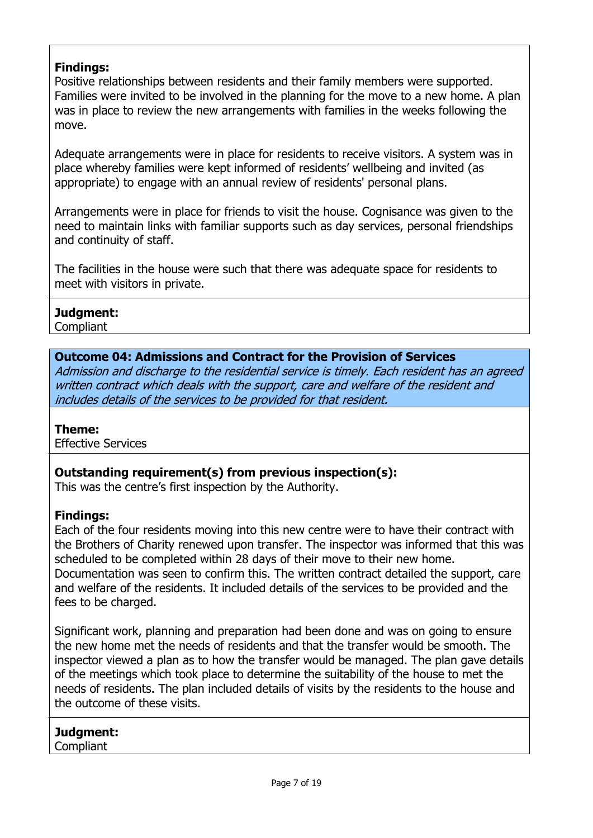# **Findings:**

Positive relationships between residents and their family members were supported. Families were invited to be involved in the planning for the move to a new home. A plan was in place to review the new arrangements with families in the weeks following the move.

Adequate arrangements were in place for residents to receive visitors. A system was in place whereby families were kept informed of residents' wellbeing and invited (as appropriate) to engage with an annual review of residents' personal plans.

Arrangements were in place for friends to visit the house. Cognisance was given to the need to maintain links with familiar supports such as day services, personal friendships and continuity of staff.

The facilities in the house were such that there was adequate space for residents to meet with visitors in private.

#### **Judgment:**

**Compliant** 

### **Outcome 04: Admissions and Contract for the Provision of Services**

Admission and discharge to the residential service is timely. Each resident has an agreed written contract which deals with the support, care and welfare of the resident and includes details of the services to be provided for that resident.

### **Theme:**

Effective Services

### **Outstanding requirement(s) from previous inspection(s):**

This was the centre's first inspection by the Authority.

### **Findings:**

Each of the four residents moving into this new centre were to have their contract with the Brothers of Charity renewed upon transfer. The inspector was informed that this was scheduled to be completed within 28 days of their move to their new home. Documentation was seen to confirm this. The written contract detailed the support, care and welfare of the residents. It included details of the services to be provided and the fees to be charged.

Significant work, planning and preparation had been done and was on going to ensure the new home met the needs of residents and that the transfer would be smooth. The inspector viewed a plan as to how the transfer would be managed. The plan gave details of the meetings which took place to determine the suitability of the house to met the needs of residents. The plan included details of visits by the residents to the house and the outcome of these visits.

#### **Judgment: Compliant**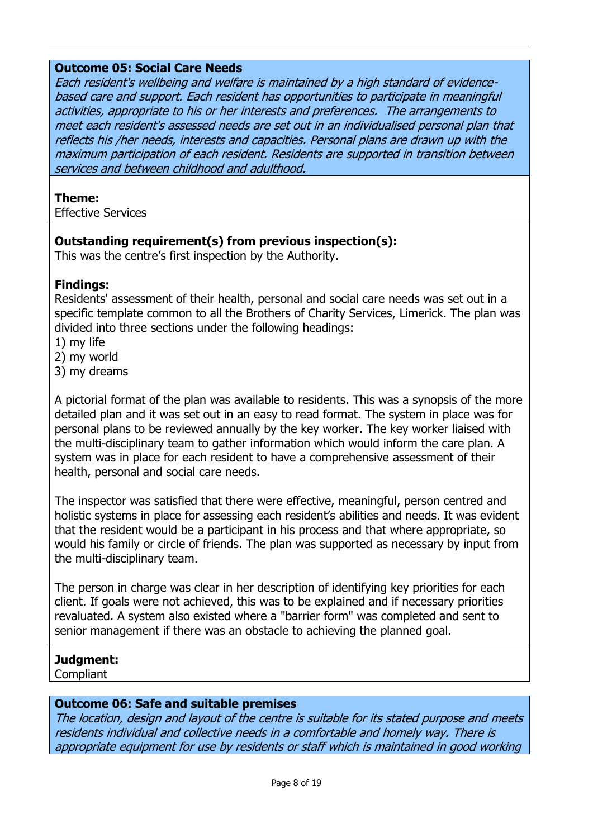#### **Outcome 05: Social Care Needs**

Each resident's wellbeing and welfare is maintained by a high standard of evidencebased care and support. Each resident has opportunities to participate in meaningful activities, appropriate to his or her interests and preferences. The arrangements to meet each resident's assessed needs are set out in an individualised personal plan that reflects his /her needs, interests and capacities. Personal plans are drawn up with the maximum participation of each resident. Residents are supported in transition between services and between childhood and adulthood.

#### **Theme:**

Effective Services

### **Outstanding requirement(s) from previous inspection(s):**

This was the centre's first inspection by the Authority.

### **Findings:**

Residents' assessment of their health, personal and social care needs was set out in a specific template common to all the Brothers of Charity Services, Limerick. The plan was divided into three sections under the following headings:

- 1) my life
- 2) my world
- 3) my dreams

A pictorial format of the plan was available to residents. This was a synopsis of the more detailed plan and it was set out in an easy to read format. The system in place was for personal plans to be reviewed annually by the key worker. The key worker liaised with the multi-disciplinary team to gather information which would inform the care plan. A system was in place for each resident to have a comprehensive assessment of their health, personal and social care needs.

The inspector was satisfied that there were effective, meaningful, person centred and holistic systems in place for assessing each resident's abilities and needs. It was evident that the resident would be a participant in his process and that where appropriate, so would his family or circle of friends. The plan was supported as necessary by input from the multi-disciplinary team.

The person in charge was clear in her description of identifying key priorities for each client. If goals were not achieved, this was to be explained and if necessary priorities revaluated. A system also existed where a "barrier form" was completed and sent to senior management if there was an obstacle to achieving the planned goal.

### **Judgment:**

**Compliant** 

### **Outcome 06: Safe and suitable premises**

The location, design and layout of the centre is suitable for its stated purpose and meets residents individual and collective needs in a comfortable and homely way. There is appropriate equipment for use by residents or staff which is maintained in good working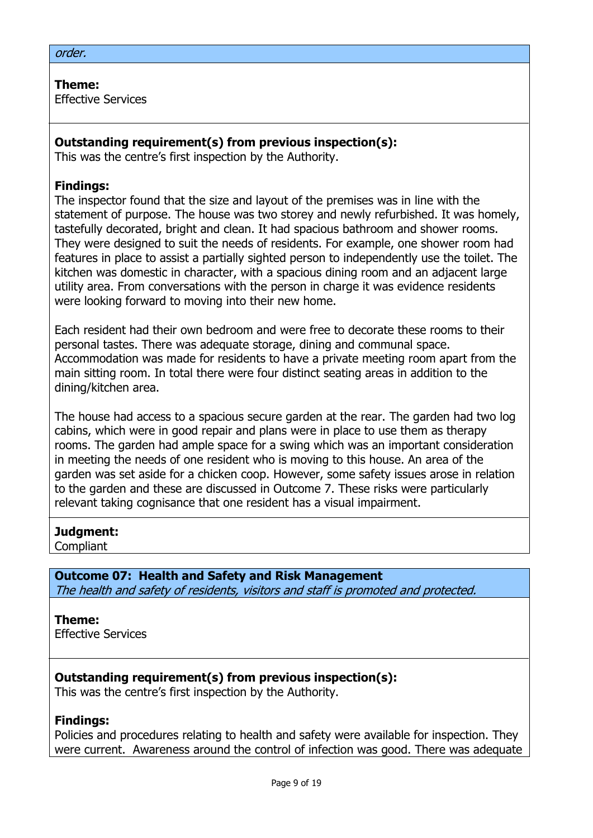#### order.

**Theme:**  Effective Services

#### **Outstanding requirement(s) from previous inspection(s):**

This was the centre's first inspection by the Authority.

#### **Findings:**

The inspector found that the size and layout of the premises was in line with the statement of purpose. The house was two storey and newly refurbished. It was homely, tastefully decorated, bright and clean. It had spacious bathroom and shower rooms. They were designed to suit the needs of residents. For example, one shower room had features in place to assist a partially sighted person to independently use the toilet. The kitchen was domestic in character, with a spacious dining room and an adjacent large utility area. From conversations with the person in charge it was evidence residents were looking forward to moving into their new home.

Each resident had their own bedroom and were free to decorate these rooms to their personal tastes. There was adequate storage, dining and communal space. Accommodation was made for residents to have a private meeting room apart from the main sitting room. In total there were four distinct seating areas in addition to the dining/kitchen area.

The house had access to a spacious secure garden at the rear. The garden had two log cabins, which were in good repair and plans were in place to use them as therapy rooms. The garden had ample space for a swing which was an important consideration in meeting the needs of one resident who is moving to this house. An area of the garden was set aside for a chicken coop. However, some safety issues arose in relation to the garden and these are discussed in Outcome 7. These risks were particularly relevant taking cognisance that one resident has a visual impairment.

#### **Judgment:**

Compliant

#### **Outcome 07: Health and Safety and Risk Management**

The health and safety of residents, visitors and staff is promoted and protected.

#### **Theme:**

Effective Services

### **Outstanding requirement(s) from previous inspection(s):**

This was the centre's first inspection by the Authority.

#### **Findings:**

Policies and procedures relating to health and safety were available for inspection. They were current. Awareness around the control of infection was good. There was adequate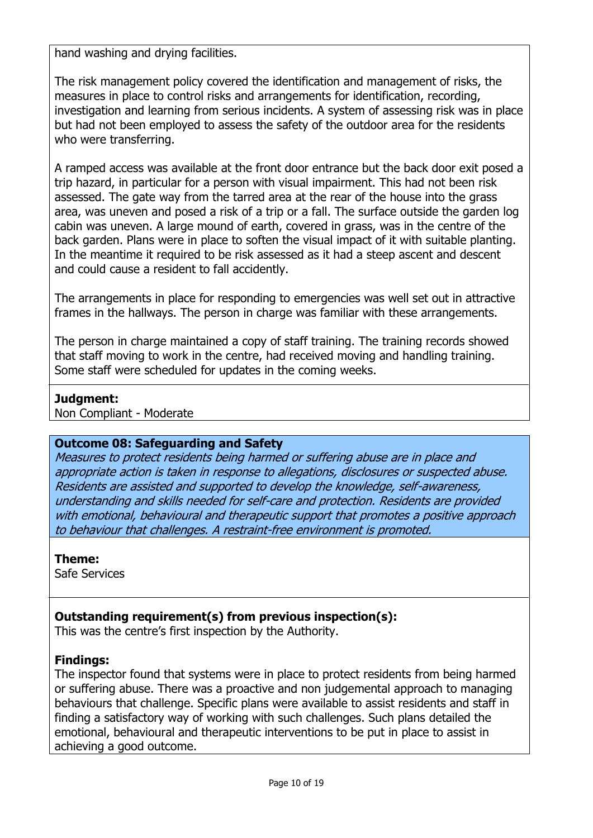hand washing and drying facilities.

The risk management policy covered the identification and management of risks, the measures in place to control risks and arrangements for identification, recording, investigation and learning from serious incidents. A system of assessing risk was in place but had not been employed to assess the safety of the outdoor area for the residents who were transferring.

A ramped access was available at the front door entrance but the back door exit posed a trip hazard, in particular for a person with visual impairment. This had not been risk assessed. The gate way from the tarred area at the rear of the house into the grass area, was uneven and posed a risk of a trip or a fall. The surface outside the garden log cabin was uneven. A large mound of earth, covered in grass, was in the centre of the back garden. Plans were in place to soften the visual impact of it with suitable planting. In the meantime it required to be risk assessed as it had a steep ascent and descent and could cause a resident to fall accidently.

The arrangements in place for responding to emergencies was well set out in attractive frames in the hallways. The person in charge was familiar with these arrangements.

The person in charge maintained a copy of staff training. The training records showed that staff moving to work in the centre, had received moving and handling training. Some staff were scheduled for updates in the coming weeks.

### **Judgment:**

Non Compliant - Moderate

### **Outcome 08: Safeguarding and Safety**

Measures to protect residents being harmed or suffering abuse are in place and appropriate action is taken in response to allegations, disclosures or suspected abuse. Residents are assisted and supported to develop the knowledge, self-awareness, understanding and skills needed for self-care and protection. Residents are provided with emotional, behavioural and therapeutic support that promotes a positive approach to behaviour that challenges. A restraint-free environment is promoted.

### **Theme:**

Safe Services

# **Outstanding requirement(s) from previous inspection(s):**

This was the centre's first inspection by the Authority.

### **Findings:**

The inspector found that systems were in place to protect residents from being harmed or suffering abuse. There was a proactive and non judgemental approach to managing behaviours that challenge. Specific plans were available to assist residents and staff in finding a satisfactory way of working with such challenges. Such plans detailed the emotional, behavioural and therapeutic interventions to be put in place to assist in achieving a good outcome.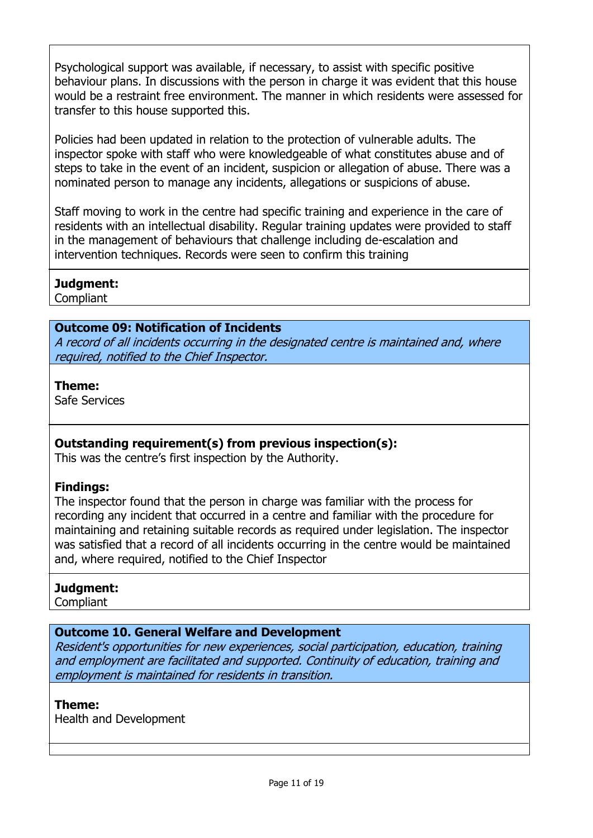Psychological support was available, if necessary, to assist with specific positive behaviour plans. In discussions with the person in charge it was evident that this house would be a restraint free environment. The manner in which residents were assessed for transfer to this house supported this.

Policies had been updated in relation to the protection of vulnerable adults. The inspector spoke with staff who were knowledgeable of what constitutes abuse and of steps to take in the event of an incident, suspicion or allegation of abuse. There was a nominated person to manage any incidents, allegations or suspicions of abuse.

Staff moving to work in the centre had specific training and experience in the care of residents with an intellectual disability. Regular training updates were provided to staff in the management of behaviours that challenge including de-escalation and intervention techniques. Records were seen to confirm this training

### **Judgment:**

Compliant

#### **Outcome 09: Notification of Incidents**

A record of all incidents occurring in the designated centre is maintained and, where required, notified to the Chief Inspector.

#### **Theme:**

Safe Services

### **Outstanding requirement(s) from previous inspection(s):**

This was the centre's first inspection by the Authority.

### **Findings:**

The inspector found that the person in charge was familiar with the process for recording any incident that occurred in a centre and familiar with the procedure for maintaining and retaining suitable records as required under legislation. The inspector was satisfied that a record of all incidents occurring in the centre would be maintained and, where required, notified to the Chief Inspector

### **Judgment:**

Compliant

### **Outcome 10. General Welfare and Development**

Resident's opportunities for new experiences, social participation, education, training and employment are facilitated and supported. Continuity of education, training and employment is maintained for residents in transition.

#### **Theme:**

Health and Development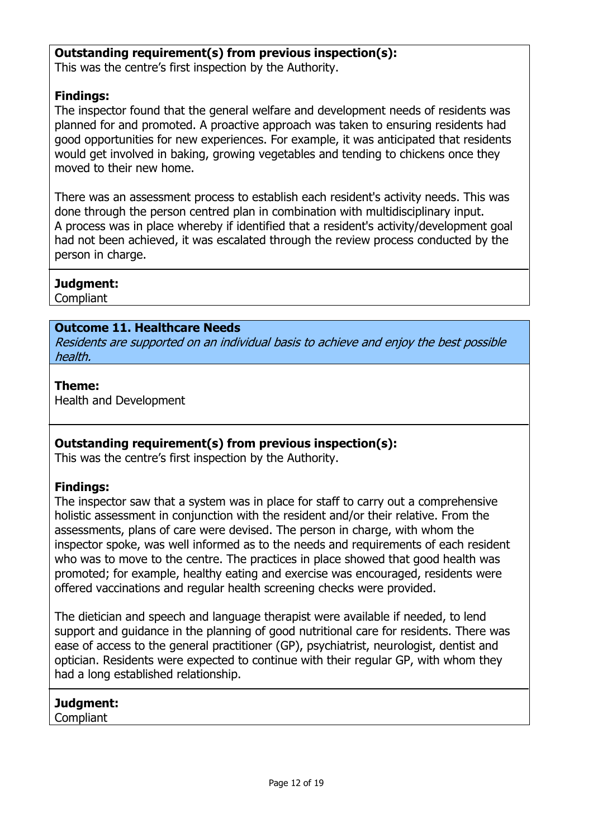### **Outstanding requirement(s) from previous inspection(s):**

This was the centre's first inspection by the Authority.

# **Findings:**

The inspector found that the general welfare and development needs of residents was planned for and promoted. A proactive approach was taken to ensuring residents had good opportunities for new experiences. For example, it was anticipated that residents would get involved in baking, growing vegetables and tending to chickens once they moved to their new home.

There was an assessment process to establish each resident's activity needs. This was done through the person centred plan in combination with multidisciplinary input. A process was in place whereby if identified that a resident's activity/development goal had not been achieved, it was escalated through the review process conducted by the person in charge.

### **Judgment:**

Compliant

### **Outcome 11. Healthcare Needs**

Residents are supported on an individual basis to achieve and enjoy the best possible health.

#### **Theme:**

Health and Development

### **Outstanding requirement(s) from previous inspection(s):**

This was the centre's first inspection by the Authority.

### **Findings:**

The inspector saw that a system was in place for staff to carry out a comprehensive holistic assessment in conjunction with the resident and/or their relative. From the assessments, plans of care were devised. The person in charge, with whom the inspector spoke, was well informed as to the needs and requirements of each resident who was to move to the centre. The practices in place showed that good health was promoted; for example, healthy eating and exercise was encouraged, residents were offered vaccinations and regular health screening checks were provided.

The dietician and speech and language therapist were available if needed, to lend support and guidance in the planning of good nutritional care for residents. There was ease of access to the general practitioner (GP), psychiatrist, neurologist, dentist and optician. Residents were expected to continue with their regular GP, with whom they had a long established relationship.

# **Judgment:**

**Compliant**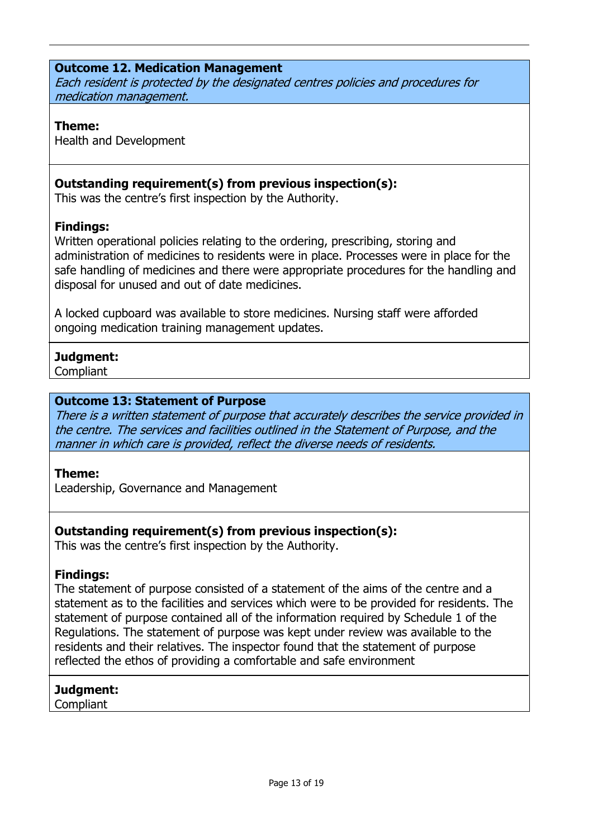### **Outcome 12. Medication Management**

Each resident is protected by the designated centres policies and procedures for medication management.

#### **Theme:**

Health and Development

# **Outstanding requirement(s) from previous inspection(s):**

This was the centre's first inspection by the Authority.

### **Findings:**

Written operational policies relating to the ordering, prescribing, storing and administration of medicines to residents were in place. Processes were in place for the safe handling of medicines and there were appropriate procedures for the handling and disposal for unused and out of date medicines.

A locked cupboard was available to store medicines. Nursing staff were afforded ongoing medication training management updates.

# **Judgment:**

**Compliant** 

#### **Outcome 13: Statement of Purpose**

There is a written statement of purpose that accurately describes the service provided in the centre. The services and facilities outlined in the Statement of Purpose, and the manner in which care is provided, reflect the diverse needs of residents.

#### **Theme:**

Leadership, Governance and Management

### **Outstanding requirement(s) from previous inspection(s):**

This was the centre's first inspection by the Authority.

### **Findings:**

The statement of purpose consisted of a statement of the aims of the centre and a statement as to the facilities and services which were to be provided for residents. The statement of purpose contained all of the information required by Schedule 1 of the Regulations. The statement of purpose was kept under review was available to the residents and their relatives. The inspector found that the statement of purpose reflected the ethos of providing a comfortable and safe environment

### **Judgment:**

**Compliant**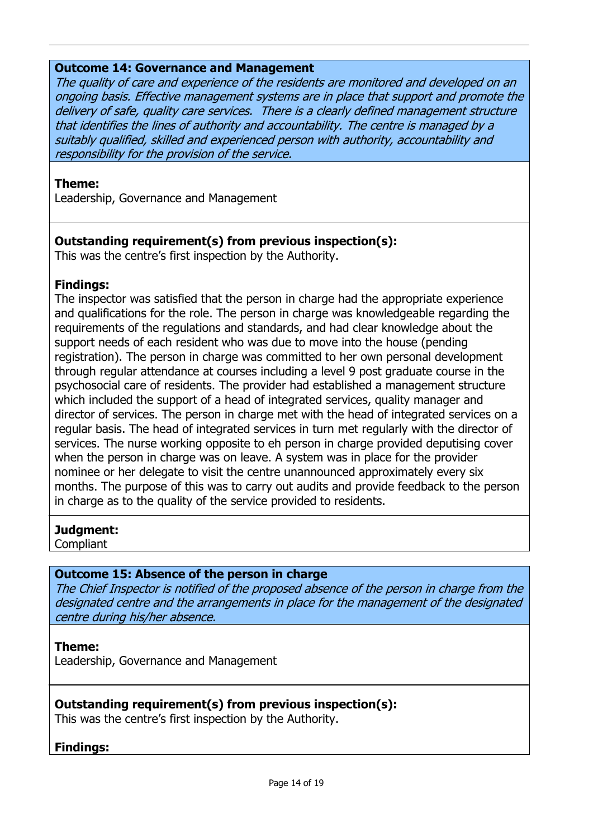#### **Outcome 14: Governance and Management**

The quality of care and experience of the residents are monitored and developed on an ongoing basis. Effective management systems are in place that support and promote the delivery of safe, quality care services. There is a clearly defined management structure that identifies the lines of authority and accountability. The centre is managed by a suitably qualified, skilled and experienced person with authority, accountability and responsibility for the provision of the service.

#### **Theme:**

Leadership, Governance and Management

### **Outstanding requirement(s) from previous inspection(s):**

This was the centre's first inspection by the Authority.

#### **Findings:**

The inspector was satisfied that the person in charge had the appropriate experience and qualifications for the role. The person in charge was knowledgeable regarding the requirements of the regulations and standards, and had clear knowledge about the support needs of each resident who was due to move into the house (pending registration). The person in charge was committed to her own personal development through regular attendance at courses including a level 9 post graduate course in the psychosocial care of residents. The provider had established a management structure which included the support of a head of integrated services, quality manager and director of services. The person in charge met with the head of integrated services on a regular basis. The head of integrated services in turn met regularly with the director of services. The nurse working opposite to eh person in charge provided deputising cover when the person in charge was on leave. A system was in place for the provider nominee or her delegate to visit the centre unannounced approximately every six months. The purpose of this was to carry out audits and provide feedback to the person in charge as to the quality of the service provided to residents.

#### **Judgment:**

**Compliant** 

### **Outcome 15: Absence of the person in charge**

The Chief Inspector is notified of the proposed absence of the person in charge from the designated centre and the arrangements in place for the management of the designated centre during his/her absence.

#### **Theme:**

Leadership, Governance and Management

### **Outstanding requirement(s) from previous inspection(s):**

This was the centre's first inspection by the Authority.

### **Findings:**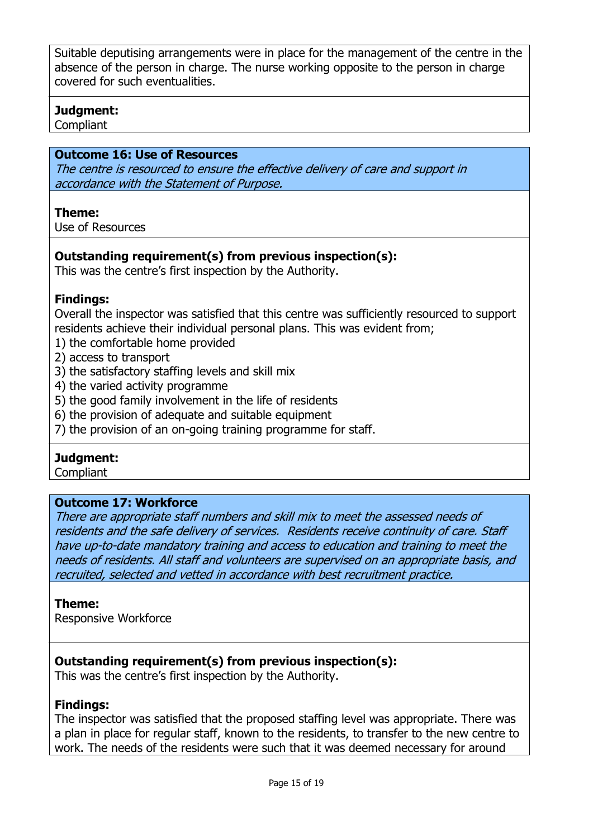Suitable deputising arrangements were in place for the management of the centre in the absence of the person in charge. The nurse working opposite to the person in charge covered for such eventualities.

### **Judgment:**

Compliant

### **Outcome 16: Use of Resources**

The centre is resourced to ensure the effective delivery of care and support in accordance with the Statement of Purpose.

#### **Theme:**

Use of Resources

# **Outstanding requirement(s) from previous inspection(s):**

This was the centre's first inspection by the Authority.

### **Findings:**

Overall the inspector was satisfied that this centre was sufficiently resourced to support residents achieve their individual personal plans. This was evident from;

- 1) the comfortable home provided
- 2) access to transport
- 3) the satisfactory staffing levels and skill mix
- 4) the varied activity programme
- 5) the good family involvement in the life of residents
- 6) the provision of adequate and suitable equipment
- 7) the provision of an on-going training programme for staff.

### **Judgment:**

**Compliant** 

#### **Outcome 17: Workforce**

There are appropriate staff numbers and skill mix to meet the assessed needs of residents and the safe delivery of services. Residents receive continuity of care. Staff have up-to-date mandatory training and access to education and training to meet the needs of residents. All staff and volunteers are supervised on an appropriate basis, and recruited, selected and vetted in accordance with best recruitment practice.

#### **Theme:**

Responsive Workforce

### **Outstanding requirement(s) from previous inspection(s):**

This was the centre's first inspection by the Authority.

### **Findings:**

The inspector was satisfied that the proposed staffing level was appropriate. There was a plan in place for regular staff, known to the residents, to transfer to the new centre to work. The needs of the residents were such that it was deemed necessary for around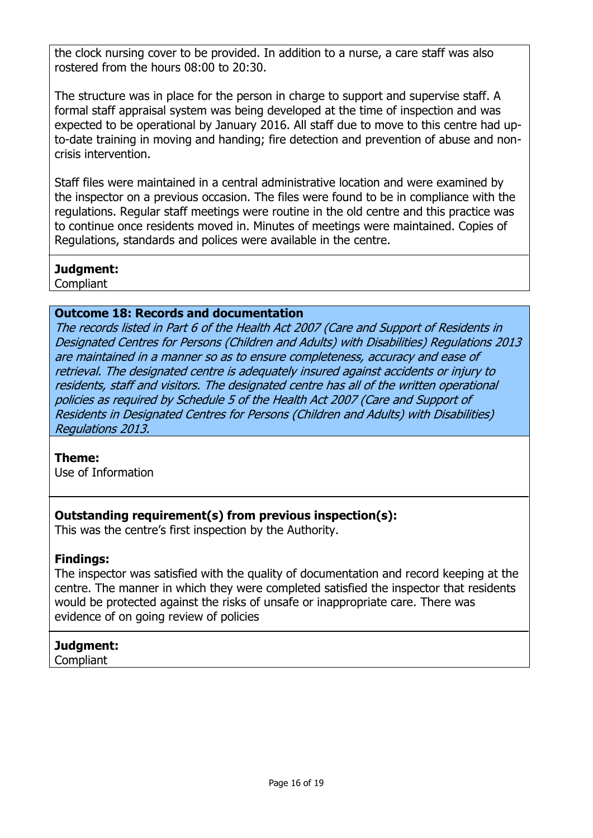the clock nursing cover to be provided. In addition to a nurse, a care staff was also rostered from the hours 08:00 to 20:30.

The structure was in place for the person in charge to support and supervise staff. A formal staff appraisal system was being developed at the time of inspection and was expected to be operational by January 2016. All staff due to move to this centre had upto-date training in moving and handing; fire detection and prevention of abuse and noncrisis intervention.

Staff files were maintained in a central administrative location and were examined by the inspector on a previous occasion. The files were found to be in compliance with the regulations. Regular staff meetings were routine in the old centre and this practice was to continue once residents moved in. Minutes of meetings were maintained. Copies of Regulations, standards and polices were available in the centre.

### **Judgment:**

**Compliant** 

# **Outcome 18: Records and documentation**

The records listed in Part 6 of the Health Act 2007 (Care and Support of Residents in Designated Centres for Persons (Children and Adults) with Disabilities) Regulations 2013 are maintained in a manner so as to ensure completeness, accuracy and ease of retrieval. The designated centre is adequately insured against accidents or injury to residents, staff and visitors. The designated centre has all of the written operational policies as required by Schedule 5 of the Health Act 2007 (Care and Support of Residents in Designated Centres for Persons (Children and Adults) with Disabilities) Regulations 2013.

### **Theme:**

Use of Information

# **Outstanding requirement(s) from previous inspection(s):**

This was the centre's first inspection by the Authority.

# **Findings:**

The inspector was satisfied with the quality of documentation and record keeping at the centre. The manner in which they were completed satisfied the inspector that residents would be protected against the risks of unsafe or inappropriate care. There was evidence of on going review of policies

# **Judgment:**

**Compliant**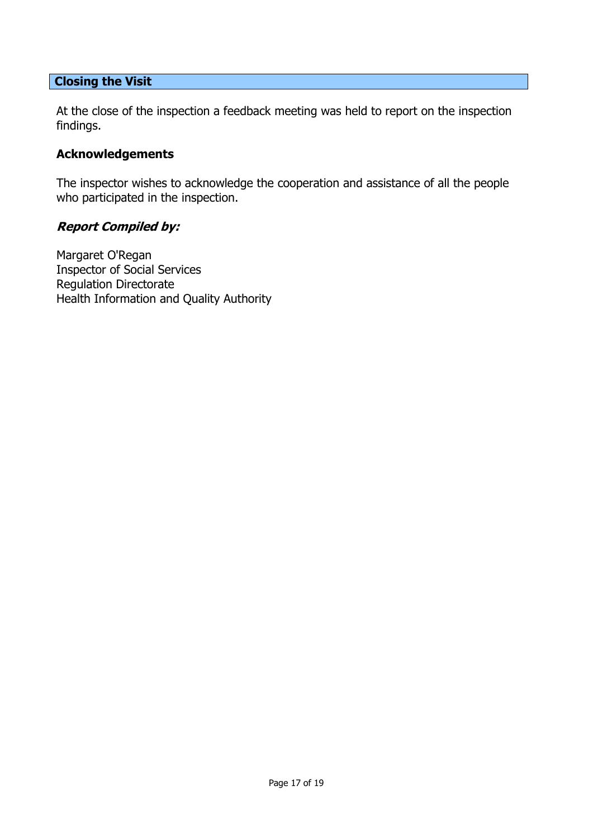#### **Closing the Visit**

At the close of the inspection a feedback meeting was held to report on the inspection findings.

### **Acknowledgements**

The inspector wishes to acknowledge the cooperation and assistance of all the people who participated in the inspection.

#### **Report Compiled by:**

Margaret O'Regan Inspector of Social Services Regulation Directorate Health Information and Quality Authority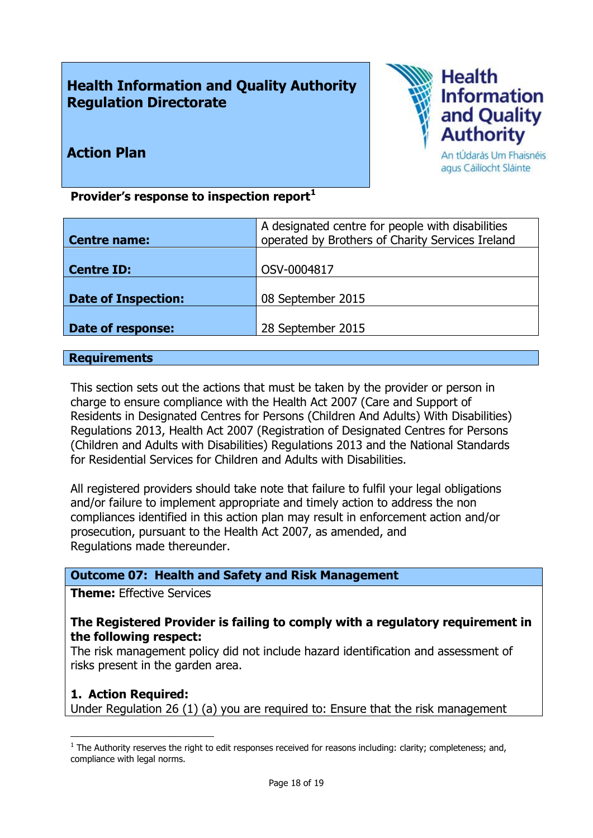# **Health Information and Quality Authority Regulation Directorate**



# **Action Plan**

An tÚdarás Um Fhaisnéis agus Cáilíocht Sláinte

**Provider's response to inspection report<sup>1</sup>**

|                            | A designated centre for people with disabilities |
|----------------------------|--------------------------------------------------|
| <b>Centre name:</b>        | operated by Brothers of Charity Services Ireland |
|                            |                                                  |
| <b>Centre ID:</b>          | OSV-0004817                                      |
|                            |                                                  |
| <b>Date of Inspection:</b> | 08 September 2015                                |
|                            |                                                  |
| Date of response:          | 28 September 2015                                |

#### **Requirements**

This section sets out the actions that must be taken by the provider or person in charge to ensure compliance with the Health Act 2007 (Care and Support of Residents in Designated Centres for Persons (Children And Adults) With Disabilities) Regulations 2013, Health Act 2007 (Registration of Designated Centres for Persons (Children and Adults with Disabilities) Regulations 2013 and the National Standards for Residential Services for Children and Adults with Disabilities.

All registered providers should take note that failure to fulfil your legal obligations and/or failure to implement appropriate and timely action to address the non compliances identified in this action plan may result in enforcement action and/or prosecution, pursuant to the Health Act 2007, as amended, and Regulations made thereunder.

### **Outcome 07: Health and Safety and Risk Management**

**Theme:** Effective Services

#### **The Registered Provider is failing to comply with a regulatory requirement in the following respect:**

The risk management policy did not include hazard identification and assessment of risks present in the garden area.

### **1. Action Required:**

 $\overline{a}$ 

Under Regulation 26 (1) (a) you are required to: Ensure that the risk management

 $<sup>1</sup>$  The Authority reserves the right to edit responses received for reasons including: clarity; completeness; and,</sup> compliance with legal norms.